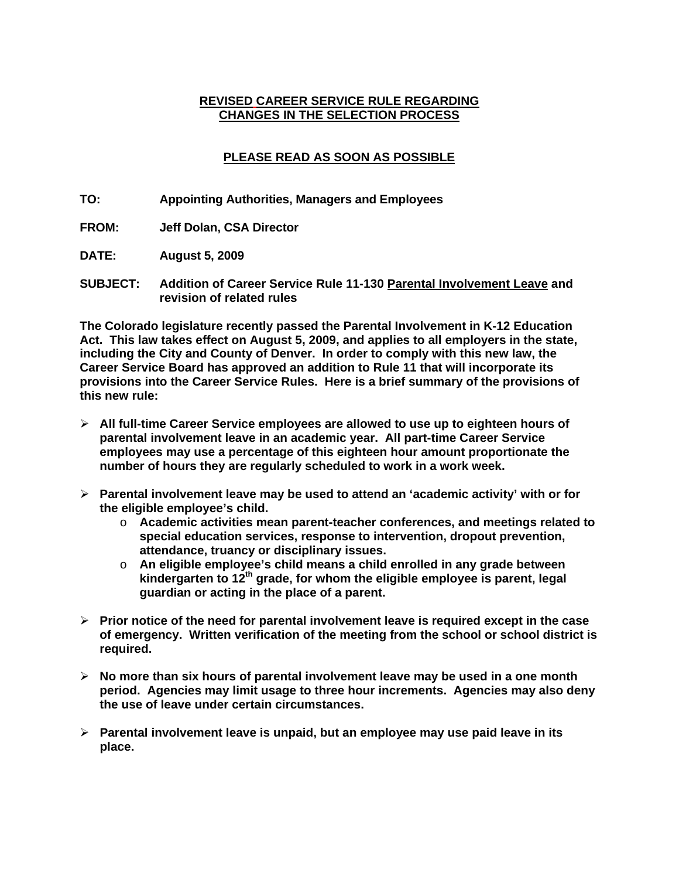#### **REVISED CAREER SERVICE RULE REGARDING CHANGES IN THE SELECTION PROCESS**

# **PLEASE READ AS SOON AS POSSIBLE**

- **TO: Appointing Authorities, Managers and Employees**
- **FROM: Jeff Dolan, CSA Director**
- **DATE: August 5, 2009**
- **SUBJECT: Addition of Career Service Rule 11-130 Parental Involvement Leave and revision of related rules**

**The Colorado legislature recently passed the Parental Involvement in K-12 Education Act. This law takes effect on August 5, 2009, and applies to all employers in the state, including the City and County of Denver. In order to comply with this new law, the Career Service Board has approved an addition to Rule 11 that will incorporate its provisions into the Career Service Rules. Here is a brief summary of the provisions of this new rule:** 

- ¾ **All full-time Career Service employees are allowed to use up to eighteen hours of parental involvement leave in an academic year. All part-time Career Service employees may use a percentage of this eighteen hour amount proportionate the number of hours they are regularly scheduled to work in a work week.**
- ¾ **Parental involvement leave may be used to attend an 'academic activity' with or for the eligible employee's child.** 
	- o **Academic activities mean parent-teacher conferences, and meetings related to special education services, response to intervention, dropout prevention, attendance, truancy or disciplinary issues.**
	- o **An eligible employee's child means a child enrolled in any grade between kindergarten to 12th grade, for whom the eligible employee is parent, legal guardian or acting in the place of a parent.**
- ¾ **Prior notice of the need for parental involvement leave is required except in the case of emergency. Written verification of the meeting from the school or school district is required.**
- ¾ **No more than six hours of parental involvement leave may be used in a one month period. Agencies may limit usage to three hour increments. Agencies may also deny the use of leave under certain circumstances.**
- ¾ **Parental involvement leave is unpaid, but an employee may use paid leave in its place.**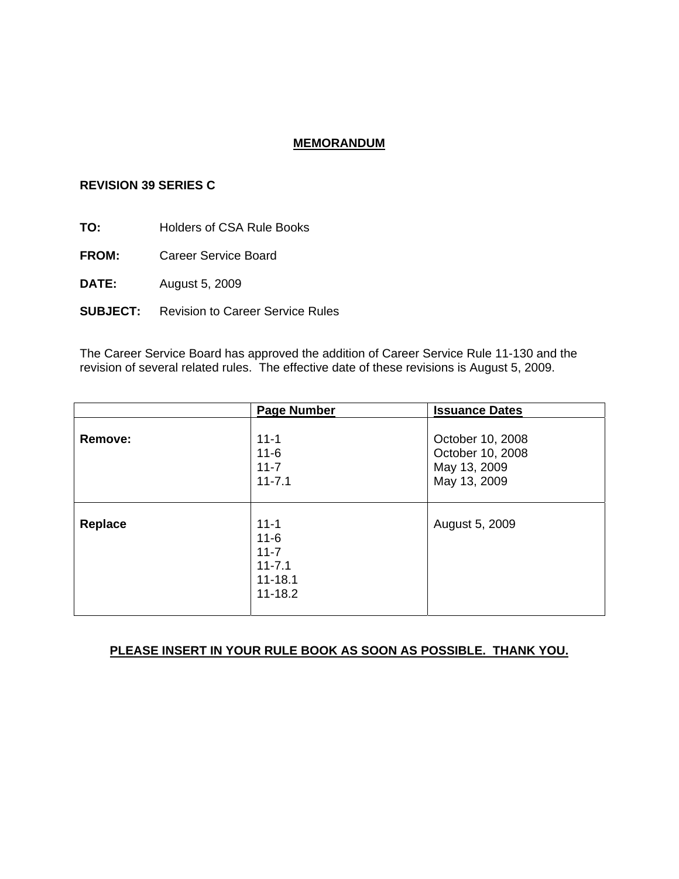# **MEMORANDUM**

#### **REVISION 39 SERIES C**

**TO:** Holders of CSA Rule Books

**FROM:** Career Service Board

**DATE:** August 5, 2009

**SUBJECT:** Revision to Career Service Rules

The Career Service Board has approved the addition of Career Service Rule 11-130 and the revision of several related rules. The effective date of these revisions is August 5, 2009.

|         | <b>Page Number</b>                                                           | <b>Issuance Dates</b>                                                |
|---------|------------------------------------------------------------------------------|----------------------------------------------------------------------|
| Remove: | $11 - 1$<br>$11 - 6$<br>$11 - 7$<br>$11 - 7.1$                               | October 10, 2008<br>October 10, 2008<br>May 13, 2009<br>May 13, 2009 |
| Replace | $11 - 1$<br>$11 - 6$<br>$11 - 7$<br>$11 - 7.1$<br>$11 - 18.1$<br>$11 - 18.2$ | August 5, 2009                                                       |

# **PLEASE INSERT IN YOUR RULE BOOK AS SOON AS POSSIBLE. THANK YOU.**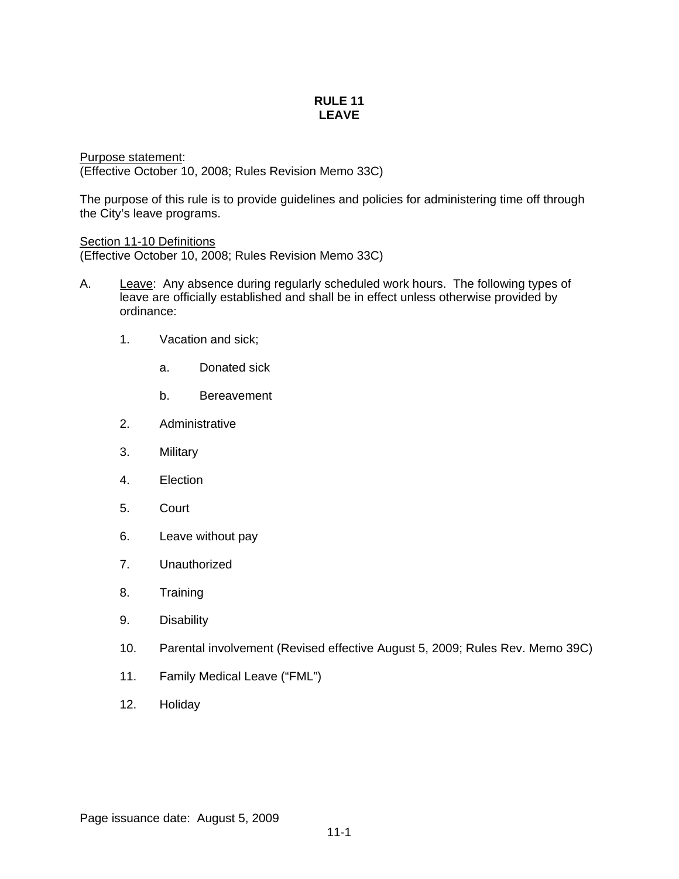#### **RULE 11 LEAVE**

Purpose statement: (Effective October 10, 2008; Rules Revision Memo 33C)

The purpose of this rule is to provide guidelines and policies for administering time off through the City's leave programs.

Section 11-10 Definitions (Effective October 10, 2008; Rules Revision Memo 33C)

- A. Leave: Any absence during regularly scheduled work hours. The following types of leave are officially established and shall be in effect unless otherwise provided by ordinance:
	- 1. Vacation and sick;
		- a. Donated sick
		- b. Bereavement
	- 2. Administrative
	- 3. Military
	- 4. Election
	- 5. Court
	- 6. Leave without pay
	- 7. Unauthorized
	- 8. Training
	- 9. Disability
	- 10. Parental involvement (Revised effective August 5, 2009; Rules Rev. Memo 39C)
	- 11. Family Medical Leave ("FML")
	- 12. Holiday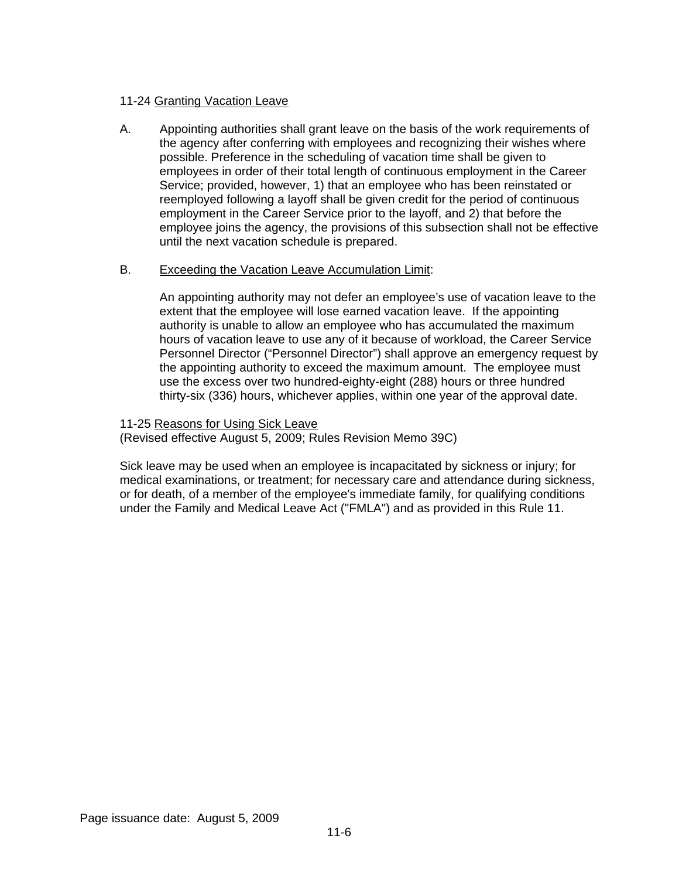# 11-24 Granting Vacation Leave

A. Appointing authorities shall grant leave on the basis of the work requirements of the agency after conferring with employees and recognizing their wishes where possible. Preference in the scheduling of vacation time shall be given to employees in order of their total length of continuous employment in the Career Service; provided, however, 1) that an employee who has been reinstated or reemployed following a layoff shall be given credit for the period of continuous employment in the Career Service prior to the layoff, and 2) that before the employee joins the agency, the provisions of this subsection shall not be effective until the next vacation schedule is prepared.

### B. Exceeding the Vacation Leave Accumulation Limit:

An appointing authority may not defer an employee's use of vacation leave to the extent that the employee will lose earned vacation leave. If the appointing authority is unable to allow an employee who has accumulated the maximum hours of vacation leave to use any of it because of workload, the Career Service Personnel Director ("Personnel Director") shall approve an emergency request by the appointing authority to exceed the maximum amount. The employee must use the excess over two hundred-eighty-eight (288) hours or three hundred thirty-six (336) hours, whichever applies, within one year of the approval date.

11-25 Reasons for Using Sick Leave

(Revised effective August 5, 2009; Rules Revision Memo 39C)

Sick leave may be used when an employee is incapacitated by sickness or injury; for medical examinations, or treatment; for necessary care and attendance during sickness, or for death, of a member of the employee's immediate family, for qualifying conditions under the Family and Medical Leave Act ("FMLA") and as provided in this Rule 11.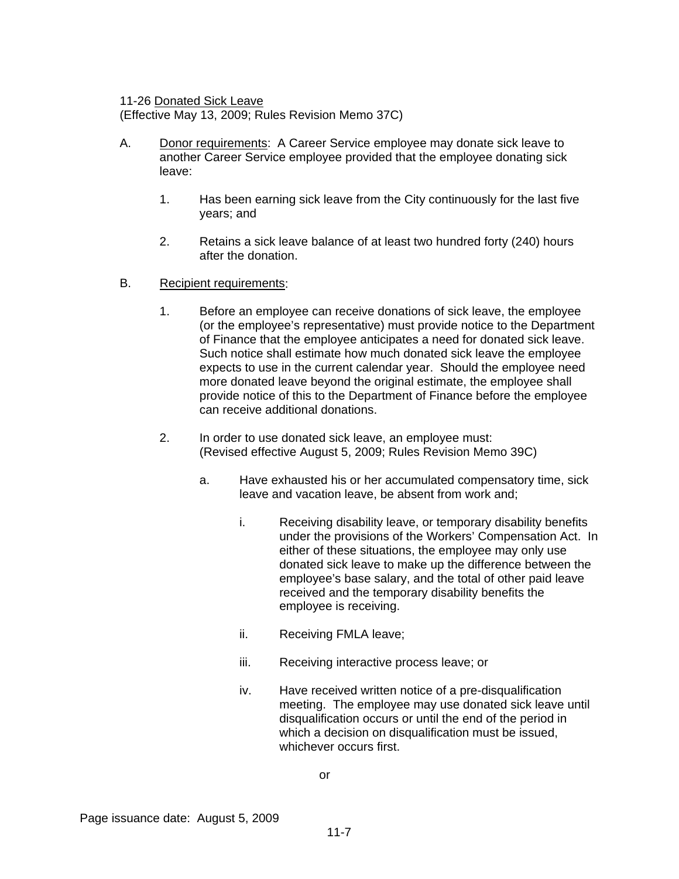11-26 Donated Sick Leave

(Effective May 13, 2009; Rules Revision Memo 37C)

- A. Donor requirements: A Career Service employee may donate sick leave to another Career Service employee provided that the employee donating sick leave:
	- 1. Has been earning sick leave from the City continuously for the last five years; and
	- 2. Retains a sick leave balance of at least two hundred forty (240) hours after the donation.
- B. Recipient requirements:
	- 1. Before an employee can receive donations of sick leave, the employee (or the employee's representative) must provide notice to the Department of Finance that the employee anticipates a need for donated sick leave. Such notice shall estimate how much donated sick leave the employee expects to use in the current calendar year. Should the employee need more donated leave beyond the original estimate, the employee shall provide notice of this to the Department of Finance before the employee can receive additional donations.
	- 2. In order to use donated sick leave, an employee must: (Revised effective August 5, 2009; Rules Revision Memo 39C)
		- a. Have exhausted his or her accumulated compensatory time, sick leave and vacation leave, be absent from work and;
			- i. Receiving disability leave, or temporary disability benefits under the provisions of the Workers' Compensation Act. In either of these situations, the employee may only use donated sick leave to make up the difference between the employee's base salary, and the total of other paid leave received and the temporary disability benefits the employee is receiving.
			- ii. Receiving FMLA leave;
			- iii. Receiving interactive process leave; or
			- iv. Have received written notice of a pre-disqualification meeting. The employee may use donated sick leave until disqualification occurs or until the end of the period in which a decision on disqualification must be issued, whichever occurs first.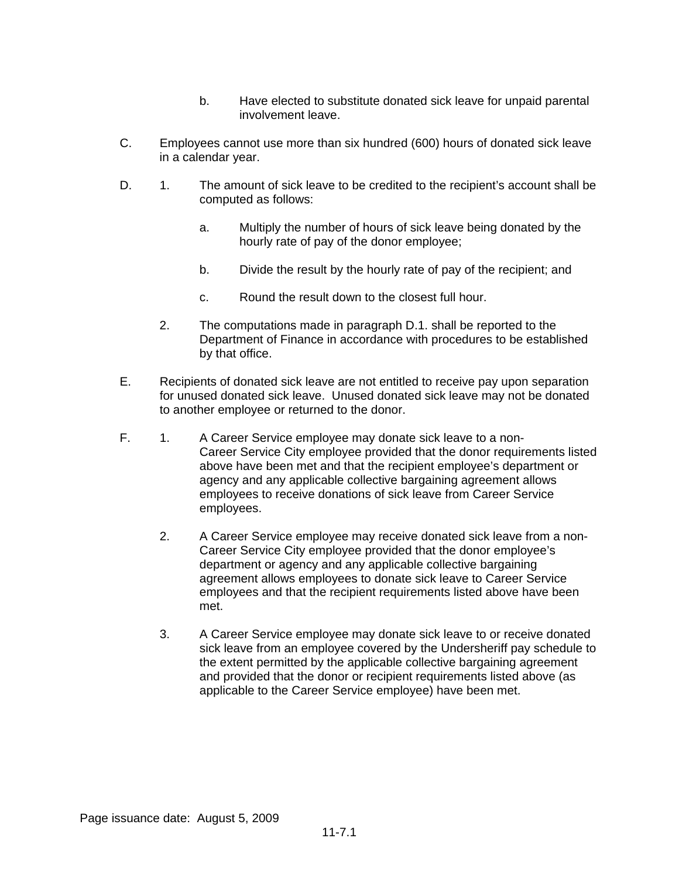- b. Have elected to substitute donated sick leave for unpaid parental involvement leave.
- C. Employees cannot use more than six hundred (600) hours of donated sick leave in a calendar year.
- D. 1. The amount of sick leave to be credited to the recipient's account shall be computed as follows:
	- a. Multiply the number of hours of sick leave being donated by the hourly rate of pay of the donor employee;
	- b. Divide the result by the hourly rate of pay of the recipient; and
	- c. Round the result down to the closest full hour.
	- 2. The computations made in paragraph D.1. shall be reported to the Department of Finance in accordance with procedures to be established by that office.
- E. Recipients of donated sick leave are not entitled to receive pay upon separation for unused donated sick leave. Unused donated sick leave may not be donated to another employee or returned to the donor.
- F. 1. A Career Service employee may donate sick leave to a non-Career Service City employee provided that the donor requirements listed above have been met and that the recipient employee's department or agency and any applicable collective bargaining agreement allows employees to receive donations of sick leave from Career Service employees.
	- 2. A Career Service employee may receive donated sick leave from a non-Career Service City employee provided that the donor employee's department or agency and any applicable collective bargaining agreement allows employees to donate sick leave to Career Service employees and that the recipient requirements listed above have been met.
	- 3. A Career Service employee may donate sick leave to or receive donated sick leave from an employee covered by the Undersheriff pay schedule to the extent permitted by the applicable collective bargaining agreement and provided that the donor or recipient requirements listed above (as applicable to the Career Service employee) have been met.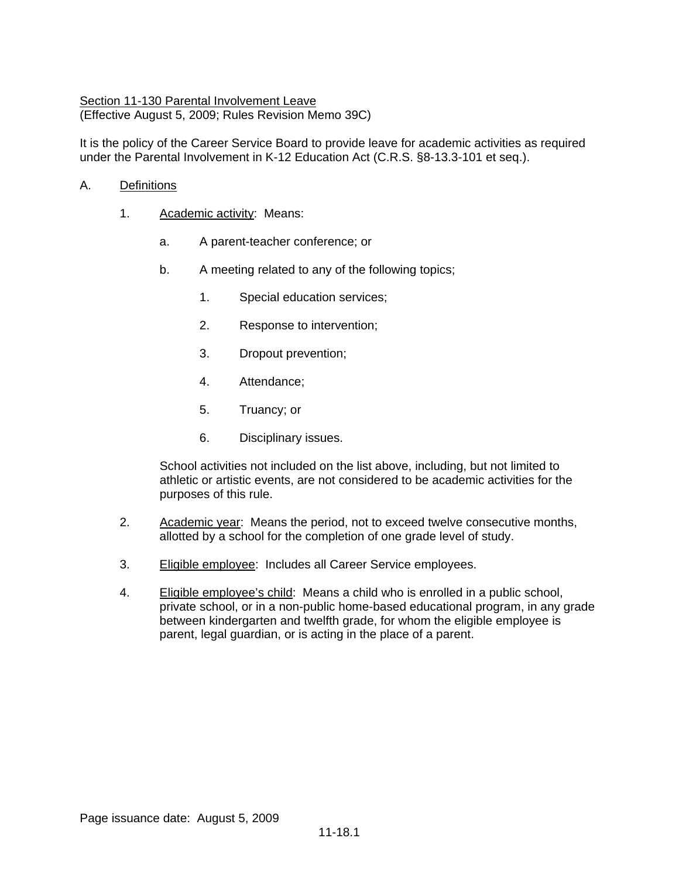## Section 11-130 Parental Involvement Leave (Effective August 5, 2009; Rules Revision Memo 39C)

It is the policy of the Career Service Board to provide leave for academic activities as required under the Parental Involvement in K-12 Education Act (C.R.S. §8-13.3-101 et seq.).

### A. Definitions

- 1. Academic activity: Means:
	- a. A parent-teacher conference; or
	- b. A meeting related to any of the following topics;
		- 1. Special education services;
		- 2. Response to intervention;
		- 3. Dropout prevention;
		- 4. Attendance;
		- 5. Truancy; or
		- 6. Disciplinary issues.

School activities not included on the list above, including, but not limited to athletic or artistic events, are not considered to be academic activities for the purposes of this rule.

- 2. Academic year: Means the period, not to exceed twelve consecutive months, allotted by a school for the completion of one grade level of study.
- 3. Eligible employee: Includes all Career Service employees.
- 4. Eligible employee's child: Means a child who is enrolled in a public school, private school, or in a non-public home-based educational program, in any grade between kindergarten and twelfth grade, for whom the eligible employee is parent, legal guardian, or is acting in the place of a parent.